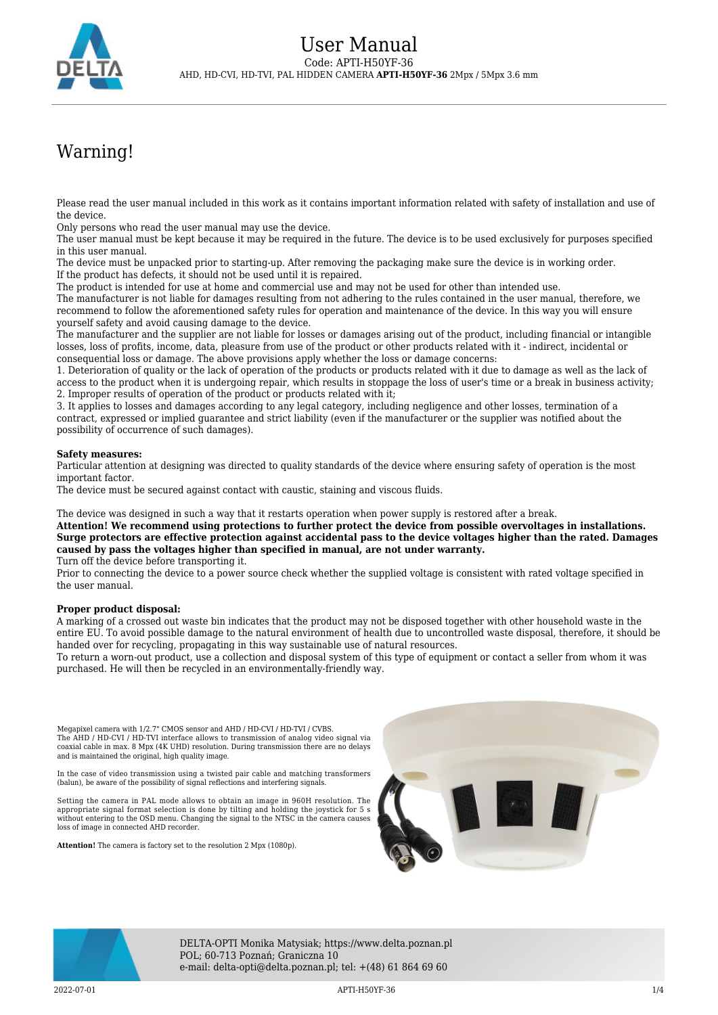

## Warning!

Please read the user manual included in this work as it contains important information related with safety of installation and use of the device.

Only persons who read the user manual may use the device.

The user manual must be kept because it may be required in the future. The device is to be used exclusively for purposes specified in this user manual.

The device must be unpacked prior to starting-up. After removing the packaging make sure the device is in working order. If the product has defects, it should not be used until it is repaired.

The product is intended for use at home and commercial use and may not be used for other than intended use.

The manufacturer is not liable for damages resulting from not adhering to the rules contained in the user manual, therefore, we recommend to follow the aforementioned safety rules for operation and maintenance of the device. In this way you will ensure yourself safety and avoid causing damage to the device.

The manufacturer and the supplier are not liable for losses or damages arising out of the product, including financial or intangible losses, loss of profits, income, data, pleasure from use of the product or other products related with it - indirect, incidental or consequential loss or damage. The above provisions apply whether the loss or damage concerns:

1. Deterioration of quality or the lack of operation of the products or products related with it due to damage as well as the lack of access to the product when it is undergoing repair, which results in stoppage the loss of user's time or a break in business activity; 2. Improper results of operation of the product or products related with it;

3. It applies to losses and damages according to any legal category, including negligence and other losses, termination of a contract, expressed or implied guarantee and strict liability (even if the manufacturer or the supplier was notified about the possibility of occurrence of such damages).

## **Safety measures:**

Particular attention at designing was directed to quality standards of the device where ensuring safety of operation is the most important factor.

The device must be secured against contact with caustic, staining and viscous fluids.

The device was designed in such a way that it restarts operation when power supply is restored after a break.

**Attention! We recommend using protections to further protect the device from possible overvoltages in installations. Surge protectors are effective protection against accidental pass to the device voltages higher than the rated. Damages caused by pass the voltages higher than specified in manual, are not under warranty.**

Turn off the device before transporting it.

Prior to connecting the device to a power source check whether the supplied voltage is consistent with rated voltage specified in the user manual.

## **Proper product disposal:**

A marking of a crossed out waste bin indicates that the product may not be disposed together with other household waste in the entire EU. To avoid possible damage to the natural environment of health due to uncontrolled waste disposal, therefore, it should be handed over for recycling, propagating in this way sustainable use of natural resources.

To return a worn-out product, use a collection and disposal system of this type of equipment or contact a seller from whom it was purchased. He will then be recycled in an environmentally-friendly way.

Megapixel camera with 1/2.7" CMOS sensor and AHD / HD-CVI / HD-TVI / CVBS. The AHD / HD-CVI / HD-TVI interface allows to transmission of analog video signal via coaxial cable in max. 8 Mpx (4K UHD) resolution. During transmission there are no delays and is maintained the original, high quality image.

In the case of video transmission using a twisted pair cable and matching transformers (balun), be aware of the possibility of signal reflections and interfering signals.

Setting the camera in PAL mode allows to obtain an image in 960H resolution. The appropriate signal format selection is done by tilting and holding the joystick for 5 s without entering to the OSD menu. Changing the signal to the NTSC in the camera causes loss of image in connected AHD recorder.

**Attention!** The camera is factory set to the resolution 2 Mpx (1080p).





DELTA-OPTI Monika Matysiak; https://www.delta.poznan.pl POL; 60-713 Poznań; Graniczna 10 e-mail: delta-opti@delta.poznan.pl; tel: +(48) 61 864 69 60

2022-07-01 APTI-H50YF-36 1/4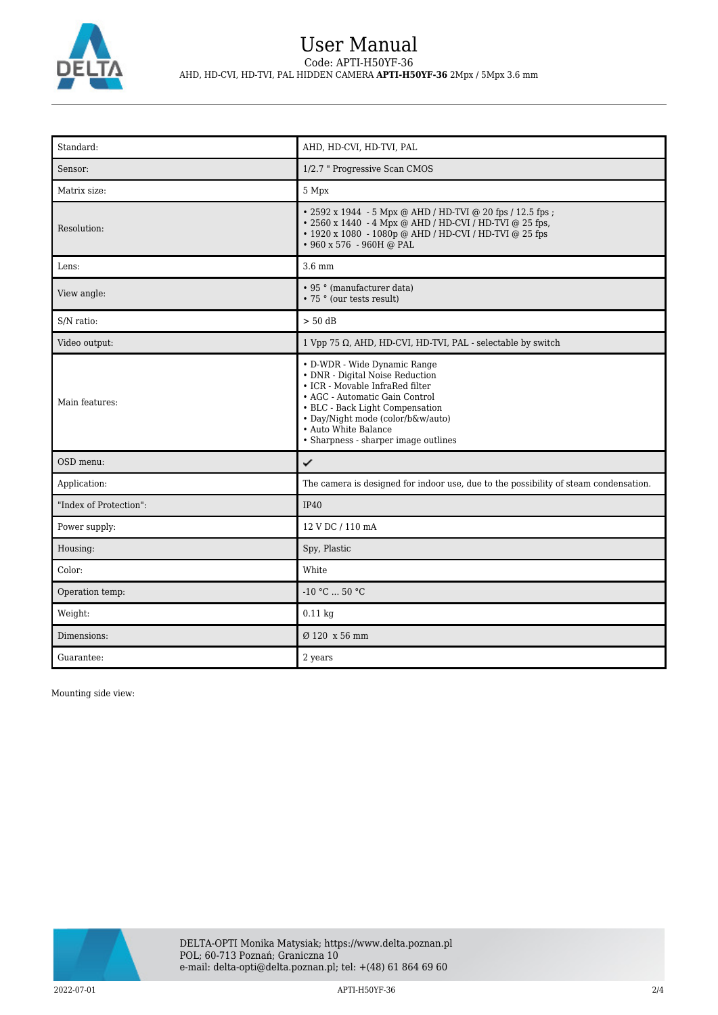

## User Manual Code: APTI-H50YF-36 AHD, HD-CVI, HD-TVI, PAL HIDDEN CAMERA **APTI-H50YF-36** 2Mpx / 5Mpx 3.6 mm

| Standard:              | AHD, HD-CVI, HD-TVI, PAL                                                                                                                                                                                                                                                     |
|------------------------|------------------------------------------------------------------------------------------------------------------------------------------------------------------------------------------------------------------------------------------------------------------------------|
| Sensor:                | 1/2.7 " Progressive Scan CMOS                                                                                                                                                                                                                                                |
| Matrix size:           | 5 Mpx                                                                                                                                                                                                                                                                        |
| Resolution:            | • 2592 x 1944 - 5 Mpx @ AHD / HD-TVI @ 20 fps / 12.5 fps ;<br>• 2560 x 1440 - 4 Mpx @ AHD / HD-CVI / HD-TVI @ 25 fps,<br>• 1920 x 1080 - 1080p @ AHD / HD-CVI / HD-TVI @ 25 fps<br>• 960 x 576 - 960H @ PAL                                                                  |
| Lens:                  | $3.6 \text{ mm}$                                                                                                                                                                                                                                                             |
| View angle:            | • 95 ° (manufacturer data)<br>• 75 ° (our tests result)                                                                                                                                                                                                                      |
| S/N ratio:             | $> 50$ dB                                                                                                                                                                                                                                                                    |
| Video output:          | 1 Vpp 75 $\Omega$ , AHD, HD-CVI, HD-TVI, PAL - selectable by switch                                                                                                                                                                                                          |
| Main features:         | • D-WDR - Wide Dynamic Range<br>• DNR - Digital Noise Reduction<br>• ICR - Movable InfraRed filter<br>• AGC - Automatic Gain Control<br>• BLC - Back Light Compensation<br>• Day/Night mode (color/b&w/auto)<br>• Auto White Balance<br>• Sharpness - sharper image outlines |
| OSD menu:              | ✓                                                                                                                                                                                                                                                                            |
| Application:           | The camera is designed for indoor use, due to the possibility of steam condensation.                                                                                                                                                                                         |
| "Index of Protection": | <b>IP40</b>                                                                                                                                                                                                                                                                  |
| Power supply:          | 12 V DC / 110 mA                                                                                                                                                                                                                                                             |
| Housing:               | Spy, Plastic                                                                                                                                                                                                                                                                 |
| Color:                 | White                                                                                                                                                                                                                                                                        |
| Operation temp:        | $-10$ °C $\ldots$ 50 °C                                                                                                                                                                                                                                                      |
| Weight:                | $0.11$ kg                                                                                                                                                                                                                                                                    |
| Dimensions:            | Ø 120 x 56 mm                                                                                                                                                                                                                                                                |
| Guarantee:             | 2 years                                                                                                                                                                                                                                                                      |

Mounting side view:



2022-07-01 APTI-H50YF-36 2/4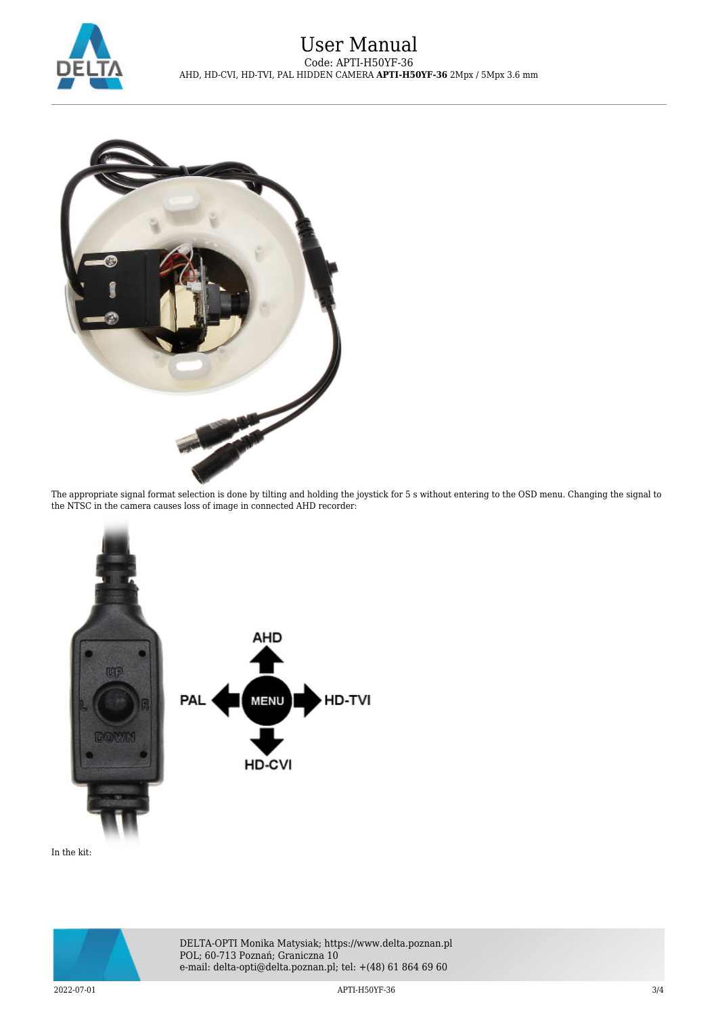



The appropriate signal format selection is done by tilting and holding the joystick for 5 s without entering to the OSD menu. Changing the signal to the NTSC in the camera causes loss of image in connected AHD recorder:



In the kit: